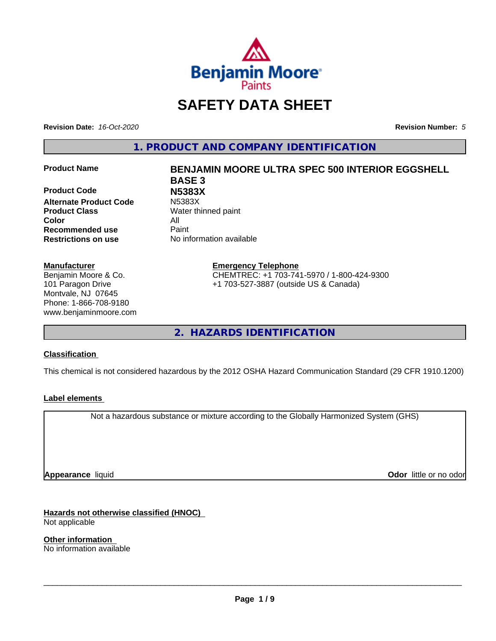

# **SAFETY DATA SHEET**

**Revision Date:** *16-Oct-2020* **Revision Number:** *5*

**1. PRODUCT AND COMPANY IDENTIFICATION**

**Product Code N5383X Alternate Product Code Product Class** Water thinned paint **Color** All **Recommended use** Paint **Restrictions on use** No information available

#### **Manufacturer**

Benjamin Moore & Co. 101 Paragon Drive Montvale, NJ 07645 Phone: 1-866-708-9180 www.benjaminmoore.com

# **Product Name BENJAMIN MOORE ULTRA SPEC 500 INTERIOR EGGSHELL BASE 3**

**Emergency Telephone** CHEMTREC: +1 703-741-5970 / 1-800-424-9300 +1 703-527-3887 (outside US & Canada)

**2. HAZARDS IDENTIFICATION**

#### **Classification**

This chemical is not considered hazardous by the 2012 OSHA Hazard Communication Standard (29 CFR 1910.1200)

#### **Label elements**

Not a hazardous substance or mixture according to the Globally Harmonized System (GHS)

**Appearance** liquid

**Odor** little or no odor

**Hazards not otherwise classified (HNOC)** Not applicable

**Other information** No information available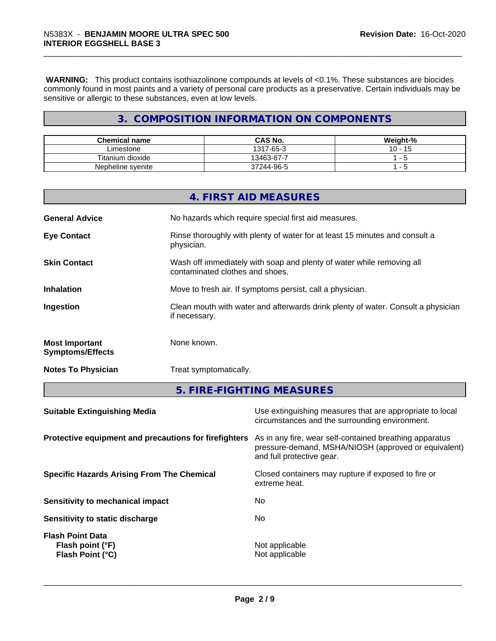**WARNING:** This product contains isothiazolinone compounds at levels of <0.1%. These substances are biocides commonly found in most paints and a variety of personal care products as a preservative. Certain individuals may be sensitive or allergic to these substances, even at low levels.

# **3. COMPOSITION INFORMATION ON COMPONENTS**

| <b>Chemical name</b> | <b>CAS No.</b> | Weight-%                 |
|----------------------|----------------|--------------------------|
| Limestone            | 1317-65-3      | $10 -$<br>$\overline{A}$ |
| Titanium dioxide     | 13463-67-7     |                          |
| Nepheline syenite    | 37244-96-5     | -<br>$\sim$              |

|                                                  | 4. FIRST AID MEASURES                                                                                    |
|--------------------------------------------------|----------------------------------------------------------------------------------------------------------|
| <b>General Advice</b>                            | No hazards which require special first aid measures.                                                     |
| <b>Eye Contact</b>                               | Rinse thoroughly with plenty of water for at least 15 minutes and consult a<br>physician.                |
| <b>Skin Contact</b>                              | Wash off immediately with soap and plenty of water while removing all<br>contaminated clothes and shoes. |
| <b>Inhalation</b>                                | Move to fresh air. If symptoms persist, call a physician.                                                |
| Ingestion                                        | Clean mouth with water and afterwards drink plenty of water. Consult a physician<br>if necessary.        |
| <b>Most Important</b><br><b>Symptoms/Effects</b> | None known.                                                                                              |
| <b>Notes To Physician</b>                        | Treat symptomatically.                                                                                   |

**5. FIRE-FIGHTING MEASURES**

| <b>Suitable Extinguishing Media</b>                             | Use extinguishing measures that are appropriate to local<br>circumstances and the surrounding environment.                                   |
|-----------------------------------------------------------------|----------------------------------------------------------------------------------------------------------------------------------------------|
| Protective equipment and precautions for firefighters           | As in any fire, wear self-contained breathing apparatus<br>pressure-demand, MSHA/NIOSH (approved or equivalent)<br>and full protective gear. |
| <b>Specific Hazards Arising From The Chemical</b>               | Closed containers may rupture if exposed to fire or<br>extreme heat.                                                                         |
| Sensitivity to mechanical impact                                | No                                                                                                                                           |
| Sensitivity to static discharge                                 | No                                                                                                                                           |
| <b>Flash Point Data</b><br>Flash point (°F)<br>Flash Point (°C) | Not applicable<br>Not applicable                                                                                                             |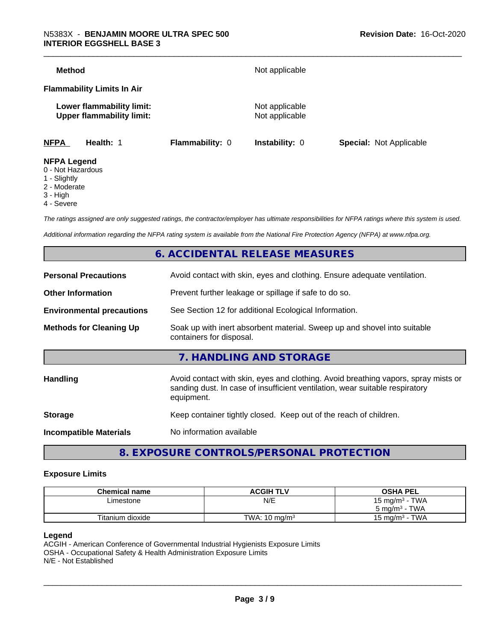| <b>Method</b>                                                                                                                                |                 | Not applicable                   |                                |
|----------------------------------------------------------------------------------------------------------------------------------------------|-----------------|----------------------------------|--------------------------------|
| <b>Flammability Limits In Air</b>                                                                                                            |                 |                                  |                                |
| Lower flammability limit:<br><b>Upper flammability limit:</b>                                                                                |                 | Not applicable<br>Not applicable |                                |
| <b>NFPA</b><br>Health: 1                                                                                                                     | Flammability: 0 | <b>Instability: 0</b>            | <b>Special: Not Applicable</b> |
| <b>NFPA Legend</b><br>$\bigcap$ <b>N</b> $\bigcup$ $\bigcup$ $\bigcup$ $\bigcup$ $\bigcup$ $\bigcup$ $\bigcup$ $\bigcup$ $\bigcup$ $\bigcup$ |                 |                                  |                                |

- 0 Not Hazardous
- 1 Slightly
- 2 Moderate
- 3 High
- 4 Severe

*The ratings assigned are only suggested ratings, the contractor/employer has ultimate responsibilities for NFPA ratings where this system is used.*

*Additional information regarding the NFPA rating system is available from the National Fire Protection Agency (NFPA) at www.nfpa.org.*

## **6. ACCIDENTAL RELEASE MEASURES**

| <b>Personal Precautions</b>      | Avoid contact with skin, eyes and clothing. Ensure adequate ventilation.                                                                                                         |
|----------------------------------|----------------------------------------------------------------------------------------------------------------------------------------------------------------------------------|
| <b>Other Information</b>         | Prevent further leakage or spillage if safe to do so.                                                                                                                            |
| <b>Environmental precautions</b> | See Section 12 for additional Ecological Information.                                                                                                                            |
| <b>Methods for Cleaning Up</b>   | Soak up with inert absorbent material. Sweep up and shovel into suitable<br>containers for disposal.                                                                             |
|                                  | 7. HANDLING AND STORAGE                                                                                                                                                          |
| Handling                         | Avoid contact with skin, eyes and clothing. Avoid breathing vapors, spray mists or<br>sanding dust. In case of insufficient ventilation, wear suitable respiratory<br>equipment. |
| <b>Storage</b>                   | Keep container tightly closed. Keep out of the reach of children.                                                                                                                |
| <b>Incompatible Materials</b>    | No information available                                                                                                                                                         |
|                                  |                                                                                                                                                                                  |

**8. EXPOSURE CONTROLS/PERSONAL PROTECTION**

#### **Exposure Limits**

| <b>Chemical name</b> | <b>ACGIH TLV</b>         | <b>OSHA PEL</b>                   |
|----------------------|--------------------------|-----------------------------------|
| ∟imestone            | N/E                      | 15 mg/m $3$ - TWA                 |
|                      |                          | $5 \text{ ma/m}^3$ - TWA          |
| Titanium dioxide     | TWA: $10 \text{ mg/m}^3$ | · TWA<br>15 mg/m <sup>3</sup> - . |

#### **Legend**

ACGIH - American Conference of Governmental Industrial Hygienists Exposure Limits OSHA - Occupational Safety & Health Administration Exposure Limits N/E - Not Established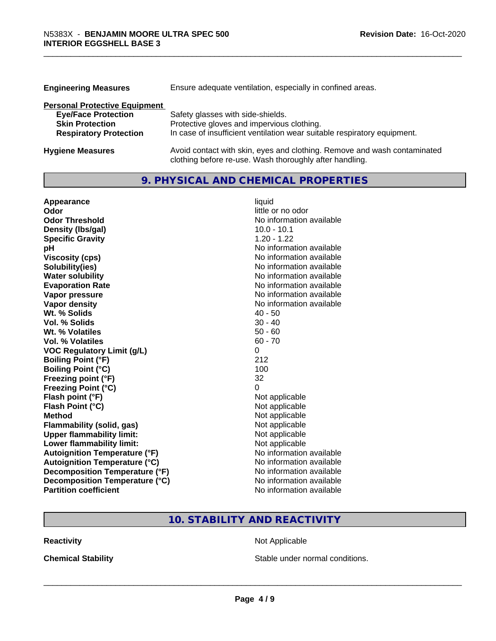| <b>Engineering Measures</b>          | Ensure adequate ventilation, especially in confined areas.               |  |  |
|--------------------------------------|--------------------------------------------------------------------------|--|--|
| <b>Personal Protective Equipment</b> |                                                                          |  |  |
| <b>Eye/Face Protection</b>           | Safety glasses with side-shields.                                        |  |  |
| <b>Skin Protection</b>               | Protective gloves and impervious clothing.                               |  |  |
| <b>Respiratory Protection</b>        | In case of insufficient ventilation wear suitable respiratory equipment. |  |  |
| <b>Hygiene Measures</b>              | Avoid contact with skin, eyes and clothing. Remove and wash contaminated |  |  |

clothing before re-use. Wash thoroughly after handling.

# **9. PHYSICAL AND CHEMICAL PROPERTIES**

| Appearance                           | liquid                   |
|--------------------------------------|--------------------------|
| Odor                                 | little or no odor        |
| <b>Odor Threshold</b>                | No information available |
| Density (Ibs/gal)                    | $10.0 - 10.1$            |
| <b>Specific Gravity</b>              | $1.20 - 1.22$            |
| рH                                   | No information available |
| <b>Viscosity (cps)</b>               | No information available |
| Solubility(ies)                      | No information available |
| <b>Water solubility</b>              | No information available |
| <b>Evaporation Rate</b>              | No information available |
| Vapor pressure                       | No information available |
| <b>Vapor density</b>                 | No information available |
| Wt. % Solids                         | $40 - 50$                |
| Vol. % Solids                        | $30 - 40$                |
| Wt. % Volatiles                      | $50 - 60$                |
| <b>Vol. % Volatiles</b>              | $60 - 70$                |
| <b>VOC Regulatory Limit (g/L)</b>    | 0                        |
| <b>Boiling Point (°F)</b>            | 212                      |
| <b>Boiling Point (°C)</b>            | 100                      |
| Freezing point (°F)                  | 32                       |
| <b>Freezing Point (°C)</b>           | 0                        |
| Flash point (°F)                     | Not applicable           |
| Flash Point (°C)                     | Not applicable           |
| <b>Method</b>                        | Not applicable           |
| <b>Flammability (solid, gas)</b>     | Not applicable           |
| <b>Upper flammability limit:</b>     | Not applicable           |
| Lower flammability limit:            | Not applicable           |
| <b>Autoignition Temperature (°F)</b> | No information available |
| <b>Autoignition Temperature (°C)</b> | No information available |
| Decomposition Temperature (°F)       | No information available |
| Decomposition Temperature (°C)       | No information available |
| <b>Partition coefficient</b>         | No information available |

# **10. STABILITY AND REACTIVITY**

**Reactivity Not Applicable** Not Applicable

**Chemical Stability Chemical Stability** Stable under normal conditions.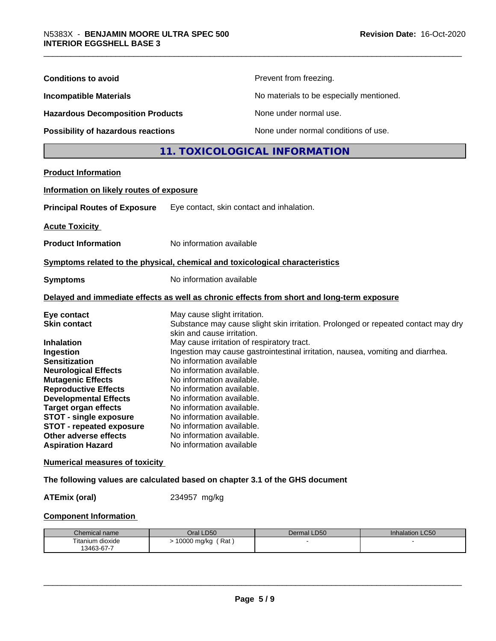| <b>Conditions to avoid</b>                                                                                                                                                                                                                                                                                                                                                     |                                                                                                                                                                                                                                                                                                                                                                                                                                                                                                                                                                                 | Prevent from freezing.                   |                 |
|--------------------------------------------------------------------------------------------------------------------------------------------------------------------------------------------------------------------------------------------------------------------------------------------------------------------------------------------------------------------------------|---------------------------------------------------------------------------------------------------------------------------------------------------------------------------------------------------------------------------------------------------------------------------------------------------------------------------------------------------------------------------------------------------------------------------------------------------------------------------------------------------------------------------------------------------------------------------------|------------------------------------------|-----------------|
| <b>Incompatible Materials</b>                                                                                                                                                                                                                                                                                                                                                  |                                                                                                                                                                                                                                                                                                                                                                                                                                                                                                                                                                                 | No materials to be especially mentioned. |                 |
| <b>Hazardous Decomposition Products</b>                                                                                                                                                                                                                                                                                                                                        |                                                                                                                                                                                                                                                                                                                                                                                                                                                                                                                                                                                 | None under normal use.                   |                 |
| <b>Possibility of hazardous reactions</b>                                                                                                                                                                                                                                                                                                                                      |                                                                                                                                                                                                                                                                                                                                                                                                                                                                                                                                                                                 | None under normal conditions of use.     |                 |
|                                                                                                                                                                                                                                                                                                                                                                                |                                                                                                                                                                                                                                                                                                                                                                                                                                                                                                                                                                                 | 11. TOXICOLOGICAL INFORMATION            |                 |
| <b>Product Information</b>                                                                                                                                                                                                                                                                                                                                                     |                                                                                                                                                                                                                                                                                                                                                                                                                                                                                                                                                                                 |                                          |                 |
| Information on likely routes of exposure                                                                                                                                                                                                                                                                                                                                       |                                                                                                                                                                                                                                                                                                                                                                                                                                                                                                                                                                                 |                                          |                 |
| <b>Principal Routes of Exposure</b>                                                                                                                                                                                                                                                                                                                                            | Eye contact, skin contact and inhalation.                                                                                                                                                                                                                                                                                                                                                                                                                                                                                                                                       |                                          |                 |
| <b>Acute Toxicity</b>                                                                                                                                                                                                                                                                                                                                                          |                                                                                                                                                                                                                                                                                                                                                                                                                                                                                                                                                                                 |                                          |                 |
| <b>Product Information</b>                                                                                                                                                                                                                                                                                                                                                     | No information available                                                                                                                                                                                                                                                                                                                                                                                                                                                                                                                                                        |                                          |                 |
| Symptoms related to the physical, chemical and toxicological characteristics                                                                                                                                                                                                                                                                                                   |                                                                                                                                                                                                                                                                                                                                                                                                                                                                                                                                                                                 |                                          |                 |
| <b>Symptoms</b>                                                                                                                                                                                                                                                                                                                                                                | No information available                                                                                                                                                                                                                                                                                                                                                                                                                                                                                                                                                        |                                          |                 |
| Delayed and immediate effects as well as chronic effects from short and long-term exposure                                                                                                                                                                                                                                                                                     |                                                                                                                                                                                                                                                                                                                                                                                                                                                                                                                                                                                 |                                          |                 |
| Eye contact<br><b>Skin contact</b><br><b>Inhalation</b><br>Ingestion<br><b>Sensitization</b><br><b>Neurological Effects</b><br><b>Mutagenic Effects</b><br><b>Reproductive Effects</b><br><b>Developmental Effects</b><br><b>Target organ effects</b><br><b>STOT - single exposure</b><br><b>STOT - repeated exposure</b><br>Other adverse effects<br><b>Aspiration Hazard</b> | May cause slight irritation.<br>Substance may cause slight skin irritation. Prolonged or repeated contact may dry<br>skin and cause irritation.<br>May cause irritation of respiratory tract.<br>Ingestion may cause gastrointestinal irritation, nausea, vomiting and diarrhea.<br>No information available<br>No information available.<br>No information available.<br>No information available.<br>No information available.<br>No information available.<br>No information available.<br>No information available<br>No information available.<br>No information available |                                          |                 |
| <b>Numerical measures of toxicity</b>                                                                                                                                                                                                                                                                                                                                          |                                                                                                                                                                                                                                                                                                                                                                                                                                                                                                                                                                                 |                                          |                 |
| The following values are calculated based on chapter 3.1 of the GHS document                                                                                                                                                                                                                                                                                                   |                                                                                                                                                                                                                                                                                                                                                                                                                                                                                                                                                                                 |                                          |                 |
| <b>ATEmix (oral)</b>                                                                                                                                                                                                                                                                                                                                                           | 234957 mg/kg                                                                                                                                                                                                                                                                                                                                                                                                                                                                                                                                                                    |                                          |                 |
| <b>Component Information</b>                                                                                                                                                                                                                                                                                                                                                   |                                                                                                                                                                                                                                                                                                                                                                                                                                                                                                                                                                                 |                                          |                 |
| Chemical name                                                                                                                                                                                                                                                                                                                                                                  | Oral LD50                                                                                                                                                                                                                                                                                                                                                                                                                                                                                                                                                                       | Dermal LD50                              | Inhalation LC50 |
| Titanium dioxide<br>13463-67-7                                                                                                                                                                                                                                                                                                                                                 | > 10000 mg/kg (Rat)                                                                                                                                                                                                                                                                                                                                                                                                                                                                                                                                                             |                                          |                 |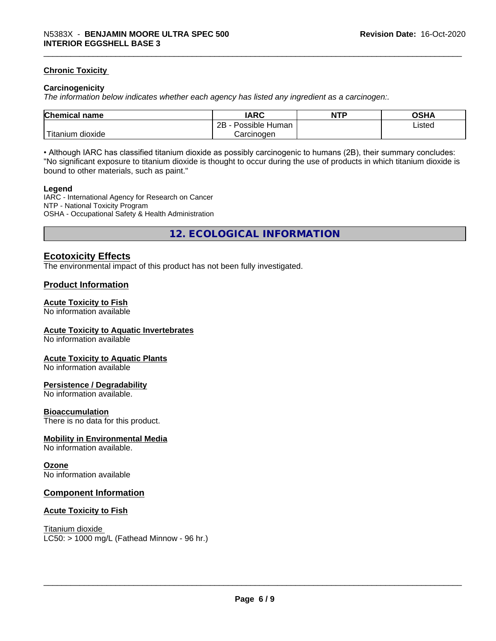#### **Chronic Toxicity**

#### **Carcinogenicity**

*The information below indicateswhether each agency has listed any ingredient as a carcinogen:.*

| <b>Chemical name</b>           | <b>IARC</b>                      | <b>NTP</b> | <b>OCUA</b><br>∪o⊓r |
|--------------------------------|----------------------------------|------------|---------------------|
|                                | . .<br>2B<br>: Human<br>Possible |            | Listed              |
| .<br>dioxide<br><b>itanium</b> | Carcinogen                       |            |                     |

• Although IARC has classified titanium dioxide as possibly carcinogenic to humans (2B), their summary concludes: "No significant exposure to titanium dioxide is thought to occur during the use of products in which titanium dioxide is bound to other materials, such as paint."

#### **Legend**

IARC - International Agency for Research on Cancer NTP - National Toxicity Program OSHA - Occupational Safety & Health Administration

**12. ECOLOGICAL INFORMATION**

#### **Ecotoxicity Effects**

The environmental impact of this product has not been fully investigated.

#### **Product Information**

#### **Acute Toxicity to Fish**

No information available

#### **Acute Toxicity to Aquatic Invertebrates**

No information available

#### **Acute Toxicity to Aquatic Plants**

No information available

#### **Persistence / Degradability**

No information available.

#### **Bioaccumulation**

There is no data for this product.

#### **Mobility in Environmental Media**

No information available.

#### **Ozone**

No information available

#### **Component Information**

#### **Acute Toxicity to Fish**

Titanium dioxide  $LC50:$  > 1000 mg/L (Fathead Minnow - 96 hr.)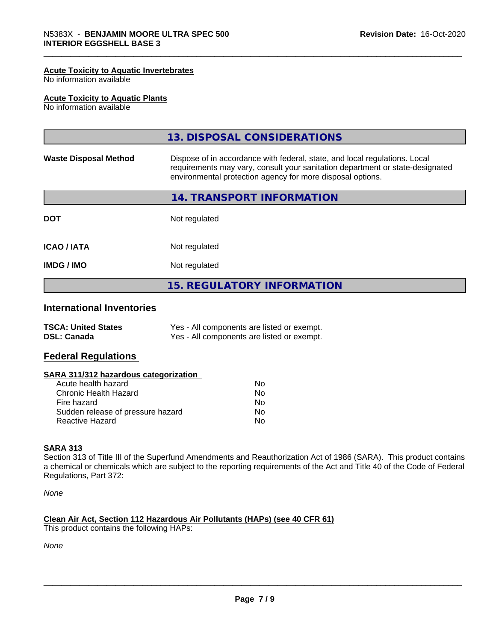#### **Acute Toxicity to Aquatic Invertebrates**

No information available

#### **Acute Toxicity to Aquatic Plants**

No information available

|                              | 13. DISPOSAL CONSIDERATIONS                                                                                                                                                                                               |
|------------------------------|---------------------------------------------------------------------------------------------------------------------------------------------------------------------------------------------------------------------------|
| <b>Waste Disposal Method</b> | Dispose of in accordance with federal, state, and local regulations. Local<br>requirements may vary, consult your sanitation department or state-designated<br>environmental protection agency for more disposal options. |
|                              | 14. TRANSPORT INFORMATION                                                                                                                                                                                                 |
| <b>DOT</b>                   | Not regulated                                                                                                                                                                                                             |
| <b>ICAO/IATA</b>             | Not regulated                                                                                                                                                                                                             |
| <b>IMDG/IMO</b>              | Not regulated                                                                                                                                                                                                             |
|                              | <b>15. REGULATORY INFORMATION</b>                                                                                                                                                                                         |

# **International Inventories**

| <b>TSCA: United States</b> | Yes - All components are listed or exempt. |
|----------------------------|--------------------------------------------|
| <b>DSL: Canada</b>         | Yes - All components are listed or exempt. |

#### **Federal Regulations**

#### **SARA 311/312 hazardous categorization**

| Acute health hazard               | Nο |  |
|-----------------------------------|----|--|
| Chronic Health Hazard             | N٥ |  |
| Fire hazard                       | Nο |  |
| Sudden release of pressure hazard | Nο |  |
| Reactive Hazard                   | Nο |  |

#### **SARA 313**

Section 313 of Title III of the Superfund Amendments and Reauthorization Act of 1986 (SARA). This product contains a chemical or chemicals which are subject to the reporting requirements of the Act and Title 40 of the Code of Federal Regulations, Part 372:

*None*

#### **Clean Air Act,Section 112 Hazardous Air Pollutants (HAPs) (see 40 CFR 61)**

This product contains the following HAPs:

*None*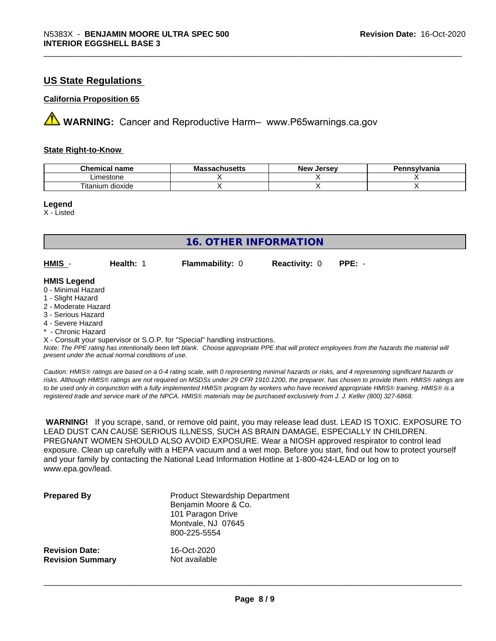## **US State Regulations**

#### **California Proposition 65**

**A** WARNING: Cancer and Reproductive Harm– www.P65warnings.ca.gov

#### **State Right-to-Know**

| Chemic<br>name<br>ешкаг     | - -<br>$-1000$<br>IVIa<br>aunuscus | <b>Jerse</b> v<br><b>Nev</b> | avlvan<br>anıa |
|-----------------------------|------------------------------------|------------------------------|----------------|
| imactone<br>estone          |                                    |                              |                |
| <br>dioxide<br>um<br>itanit |                                    |                              |                |

**Legend**

X - Listed

| <b>16. OTHER INFORMATION</b>                                                                                                                                                                                |           |                                                                            |                      |                                                                                                                                               |
|-------------------------------------------------------------------------------------------------------------------------------------------------------------------------------------------------------------|-----------|----------------------------------------------------------------------------|----------------------|-----------------------------------------------------------------------------------------------------------------------------------------------|
| HMIS -                                                                                                                                                                                                      | Health: 1 | <b>Flammability: 0</b>                                                     | <b>Reactivity: 0</b> | $PPE: -$                                                                                                                                      |
| <b>HMIS Legend</b><br>0 - Minimal Hazard<br>1 - Slight Hazard<br>2 - Moderate Hazard<br>3 - Serious Hazard<br>4 - Severe Hazard<br>* - Chronic Hazard<br>present under the actual normal conditions of use. |           | X - Consult your supervisor or S.O.P. for "Special" handling instructions. |                      | Note: The PPE rating has intentionally been left blank. Choose appropriate PPE that will protect employees from the hazards the material will |

*Caution: HMISÒ ratings are based on a 0-4 rating scale, with 0 representing minimal hazards or risks, and 4 representing significant hazards or risks. Although HMISÒ ratings are not required on MSDSs under 29 CFR 1910.1200, the preparer, has chosen to provide them. HMISÒ ratings are to be used only in conjunction with a fully implemented HMISÒ program by workers who have received appropriate HMISÒ training. HMISÒ is a registered trade and service mark of the NPCA. HMISÒ materials may be purchased exclusively from J. J. Keller (800) 327-6868.*

 **WARNING!** If you scrape, sand, or remove old paint, you may release lead dust. LEAD IS TOXIC. EXPOSURE TO LEAD DUST CAN CAUSE SERIOUS ILLNESS, SUCH AS BRAIN DAMAGE, ESPECIALLY IN CHILDREN. PREGNANT WOMEN SHOULD ALSO AVOID EXPOSURE. Wear a NIOSH approved respirator to control lead exposure. Clean up carefully with a HEPA vacuum and a wet mop. Before you start, find out how to protect yourself and your family by contacting the National Lead Information Hotline at 1-800-424-LEAD or log on to www.epa.gov/lead.

| <b>Prepared By</b>      | <b>Product Stewardship Department</b><br>Benjamin Moore & Co.<br>101 Paragon Drive<br>Montvale, NJ 07645<br>800-225-5554 |
|-------------------------|--------------------------------------------------------------------------------------------------------------------------|
| <b>Revision Date:</b>   | 16-Oct-2020                                                                                                              |
| <b>Revision Summary</b> | Not available                                                                                                            |